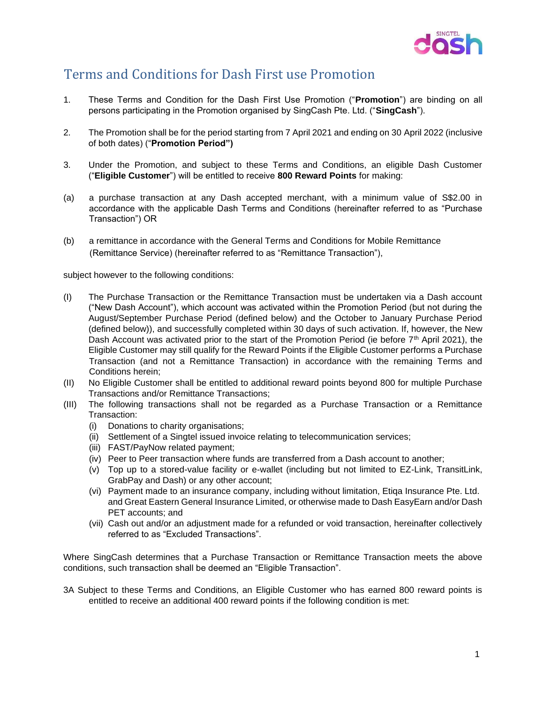

## Terms and Conditions for Dash First use Promotion

- 1. These Terms and Condition for the Dash First Use Promotion ("**Promotion**") are binding on all persons participating in the Promotion organised by SingCash Pte. Ltd. ("**SingCash**").
- 2. The Promotion shall be for the period starting from 7 April 2021 and ending on 30 April 2022 (inclusive of both dates) ("**Promotion Period")**
- 3. Under the Promotion, and subject to these Terms and Conditions, an eligible Dash Customer ("**Eligible Customer**") will be entitled to receive **800 Reward Points** for making:
- (a) a purchase transaction at any Dash accepted merchant, with a minimum value of S\$2.00 in accordance with the applicable Dash Terms and Conditions (hereinafter referred to as "Purchase Transaction") OR
- (b) a remittance in accordance with the General Terms and Conditions for Mobile Remittance (Remittance Service) (hereinafter referred to as "Remittance Transaction"),

subject however to the following conditions:

- (I) The Purchase Transaction or the Remittance Transaction must be undertaken via a Dash account ("New Dash Account"), which account was activated within the Promotion Period (but not during the August/September Purchase Period (defined below) and the October to January Purchase Period (defined below)), and successfully completed within 30 days of such activation. If, however, the New Dash Account was activated prior to the start of the Promotion Period (ie before 7<sup>th</sup> April 2021), the Eligible Customer may still qualify for the Reward Points if the Eligible Customer performs a Purchase Transaction (and not a Remittance Transaction) in accordance with the remaining Terms and Conditions herein;
- (II) No Eligible Customer shall be entitled to additional reward points beyond 800 for multiple Purchase Transactions and/or Remittance Transactions;
- (III) The following transactions shall not be regarded as a Purchase Transaction or a Remittance Transaction:
	- (i) Donations to charity organisations;
	- (ii) Settlement of a Singtel issued invoice relating to telecommunication services;
	- (iii) FAST/PayNow related payment;
	- (iv) Peer to Peer transaction where funds are transferred from a Dash account to another;
	- (v) Top up to a stored-value facility or e-wallet (including but not limited to EZ-Link, TransitLink, GrabPay and Dash) or any other account;
	- (vi) Payment made to an insurance company, including without limitation, Etiqa Insurance Pte. Ltd. and Great Eastern General Insurance Limited, or otherwise made to Dash EasyEarn and/or Dash PET accounts; and
	- (vii) Cash out and/or an adjustment made for a refunded or void transaction, hereinafter collectively referred to as "Excluded Transactions".

Where SingCash determines that a Purchase Transaction or Remittance Transaction meets the above conditions, such transaction shall be deemed an "Eligible Transaction".

3A Subject to these Terms and Conditions, an Eligible Customer who has earned 800 reward points is entitled to receive an additional 400 reward points if the following condition is met: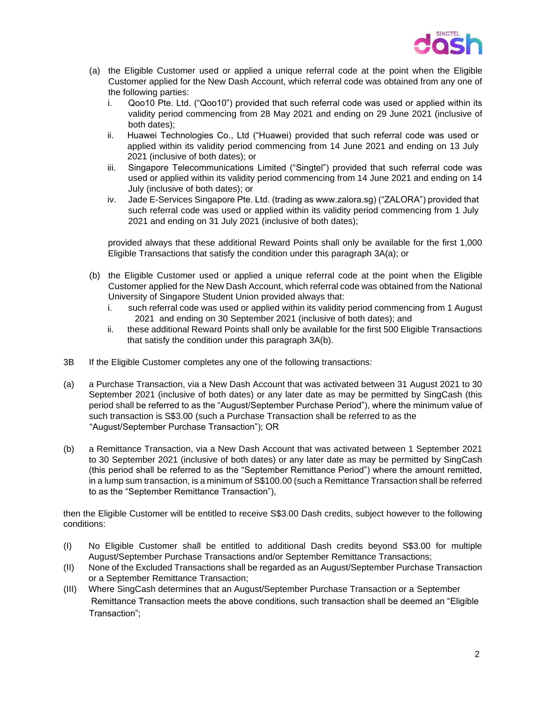

- (a) the Eligible Customer used or applied a unique referral code at the point when the Eligible Customer applied for the New Dash Account, which referral code was obtained from any one of the following parties:
	- i. Qoo10 Pte. Ltd. ("Qoo10") provided that such referral code was used or applied within its validity period commencing from 28 May 2021 and ending on 29 June 2021 (inclusive of both dates);
	- ii. Huawei Technologies Co., Ltd ("Huawei) provided that such referral code was used or applied within its validity period commencing from 14 June 2021 and ending on 13 July 2021 (inclusive of both dates); or
	- iii. Singapore Telecommunications Limited ("Singtel") provided that such referral code was used or applied within its validity period commencing from 14 June 2021 and ending on 14 July (inclusive of both dates); or
	- iv. Jade E-Services Singapore Pte. Ltd. (trading as www.zalora.sg) ("ZALORA") provided that such referral code was used or applied within its validity period commencing from 1 July 2021 and ending on 31 July 2021 (inclusive of both dates);

provided always that these additional Reward Points shall only be available for the first 1,000 Eligible Transactions that satisfy the condition under this paragraph 3A(a); or

- (b) the Eligible Customer used or applied a unique referral code at the point when the Eligible Customer applied for the New Dash Account, which referral code was obtained from the National University of Singapore Student Union provided always that:
	- i. such referral code was used or applied within its validity period commencing from 1 August 2021 and ending on 30 September 2021 (inclusive of both dates); and
	- ii. these additional Reward Points shall only be available for the first 500 Eligible Transactions that satisfy the condition under this paragraph 3A(b).
- 3B If the Eligible Customer completes any one of the following transactions:
- (a) a Purchase Transaction, via a New Dash Account that was activated between 31 August 2021 to 30 September 2021 (inclusive of both dates) or any later date as may be permitted by SingCash (this period shall be referred to as the "August/September Purchase Period"), where the minimum value of such transaction is S\$3.00 (such a Purchase Transaction shall be referred to as the "August/September Purchase Transaction"); OR
- (b) a Remittance Transaction, via a New Dash Account that was activated between 1 September 2021 to 30 September 2021 (inclusive of both dates) or any later date as may be permitted by SingCash (this period shall be referred to as the "September Remittance Period") where the amount remitted, in a lump sum transaction, is a minimum of S\$100.00 (such a Remittance Transaction shall be referred to as the "September Remittance Transaction"),

then the Eligible Customer will be entitled to receive S\$3.00 Dash credits, subject however to the following conditions:

- (I) No Eligible Customer shall be entitled to additional Dash credits beyond S\$3.00 for multiple August/September Purchase Transactions and/or September Remittance Transactions;
- (II) None of the Excluded Transactions shall be regarded as an August/September Purchase Transaction or a September Remittance Transaction;
- (III) Where SingCash determines that an August/September Purchase Transaction or a September Remittance Transaction meets the above conditions, such transaction shall be deemed an "Eligible Transaction";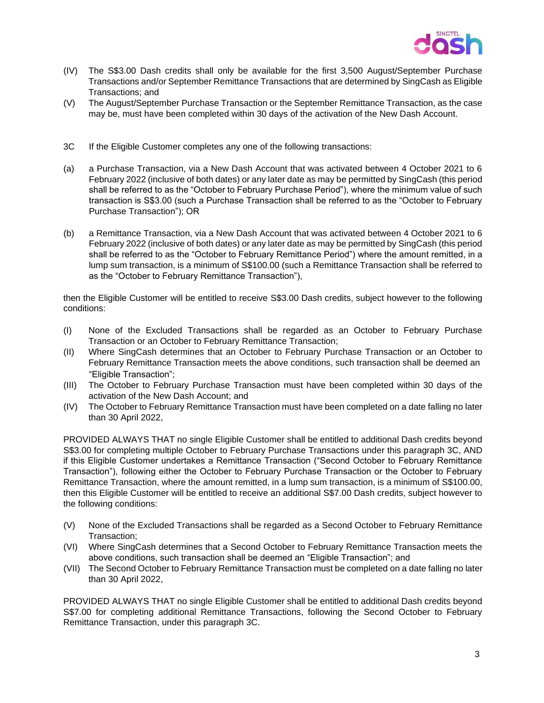

- (IV) The S\$3.00 Dash credits shall only be available for the first 3,500 August/September Purchase Transactions and/or September Remittance Transactions that are determined by SingCash as Eligible Transactions; and
- (V) The August/September Purchase Transaction or the September Remittance Transaction, as the case may be, must have been completed within 30 days of the activation of the New Dash Account.
- 3C If the Eligible Customer completes any one of the following transactions:
- (a) a Purchase Transaction, via a New Dash Account that was activated between 4 October 2021 to 6 February 2022 (inclusive of both dates) or any later date as may be permitted by SingCash (this period shall be referred to as the "October to February Purchase Period"), where the minimum value of such transaction is S\$3.00 (such a Purchase Transaction shall be referred to as the "October to February Purchase Transaction"); OR
- (b) a Remittance Transaction, via a New Dash Account that was activated between 4 October 2021 to 6 February 2022 (inclusive of both dates) or any later date as may be permitted by SingCash (this period shall be referred to as the "October to February Remittance Period") where the amount remitted, in a lump sum transaction, is a minimum of S\$100.00 (such a Remittance Transaction shall be referred to as the "October to February Remittance Transaction"),

then the Eligible Customer will be entitled to receive S\$3.00 Dash credits, subject however to the following conditions:

- (I) None of the Excluded Transactions shall be regarded as an October to February Purchase Transaction or an October to February Remittance Transaction;
- (II) Where SingCash determines that an October to February Purchase Transaction or an October to February Remittance Transaction meets the above conditions, such transaction shall be deemed an "Eligible Transaction";
- (III) The October to February Purchase Transaction must have been completed within 30 days of the activation of the New Dash Account; and
- (IV) The October to February Remittance Transaction must have been completed on a date falling no later than 30 April 2022,

PROVIDED ALWAYS THAT no single Eligible Customer shall be entitled to additional Dash credits beyond S\$3.00 for completing multiple October to February Purchase Transactions under this paragraph 3C, AND if this Eligible Customer undertakes a Remittance Transaction ("Second October to February Remittance Transaction"), following either the October to February Purchase Transaction or the October to February Remittance Transaction, where the amount remitted, in a lump sum transaction, is a minimum of S\$100.00, then this Eligible Customer will be entitled to receive an additional S\$7.00 Dash credits, subject however to the following conditions:

- (V) None of the Excluded Transactions shall be regarded as a Second October to February Remittance Transaction;
- (VI) Where SingCash determines that a Second October to February Remittance Transaction meets the above conditions, such transaction shall be deemed an "Eligible Transaction"; and
- (VII) The Second October to February Remittance Transaction must be completed on a date falling no later than 30 April 2022,

PROVIDED ALWAYS THAT no single Eligible Customer shall be entitled to additional Dash credits beyond S\$7.00 for completing additional Remittance Transactions, following the Second October to February Remittance Transaction, under this paragraph 3C.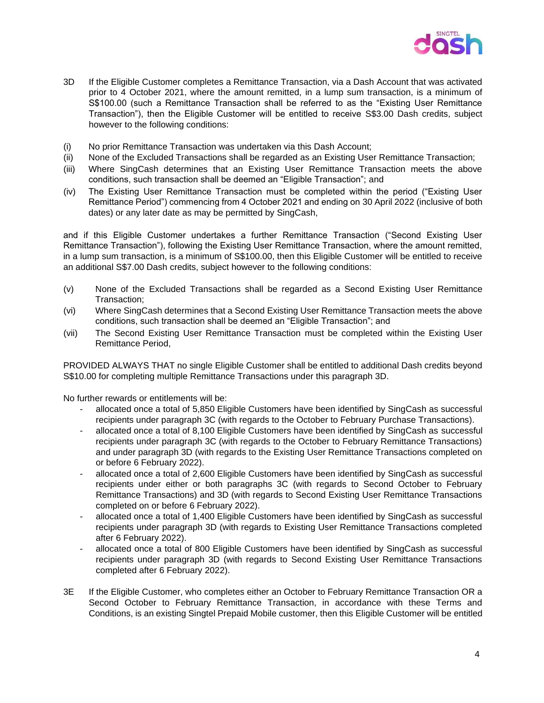

- 3D If the Eligible Customer completes a Remittance Transaction, via a Dash Account that was activated prior to 4 October 2021, where the amount remitted, in a lump sum transaction, is a minimum of S\$100.00 (such a Remittance Transaction shall be referred to as the "Existing User Remittance Transaction"), then the Eligible Customer will be entitled to receive S\$3.00 Dash credits, subject however to the following conditions:
- (i) No prior Remittance Transaction was undertaken via this Dash Account;
- (ii) None of the Excluded Transactions shall be regarded as an Existing User Remittance Transaction;
- (iii) Where SingCash determines that an Existing User Remittance Transaction meets the above conditions, such transaction shall be deemed an "Eligible Transaction"; and
- (iv) The Existing User Remittance Transaction must be completed within the period ("Existing User Remittance Period") commencing from 4 October 2021 and ending on 30 April 2022 (inclusive of both dates) or any later date as may be permitted by SingCash,

and if this Eligible Customer undertakes a further Remittance Transaction ("Second Existing User Remittance Transaction"), following the Existing User Remittance Transaction, where the amount remitted, in a lump sum transaction, is a minimum of S\$100.00, then this Eligible Customer will be entitled to receive an additional S\$7.00 Dash credits, subject however to the following conditions:

- (v) None of the Excluded Transactions shall be regarded as a Second Existing User Remittance Transaction;
- (vi) Where SingCash determines that a Second Existing User Remittance Transaction meets the above conditions, such transaction shall be deemed an "Eligible Transaction"; and
- (vii) The Second Existing User Remittance Transaction must be completed within the Existing User Remittance Period,

PROVIDED ALWAYS THAT no single Eligible Customer shall be entitled to additional Dash credits beyond S\$10.00 for completing multiple Remittance Transactions under this paragraph 3D.

No further rewards or entitlements will be:

- allocated once a total of 5,850 Eligible Customers have been identified by SingCash as successful recipients under paragraph 3C (with regards to the October to February Purchase Transactions).
- allocated once a total of 8,100 Eligible Customers have been identified by SingCash as successful recipients under paragraph 3C (with regards to the October to February Remittance Transactions) and under paragraph 3D (with regards to the Existing User Remittance Transactions completed on or before 6 February 2022).
- allocated once a total of 2,600 Eligible Customers have been identified by SingCash as successful recipients under either or both paragraphs 3C (with regards to Second October to February Remittance Transactions) and 3D (with regards to Second Existing User Remittance Transactions completed on or before 6 February 2022).
- allocated once a total of 1,400 Eligible Customers have been identified by SingCash as successful recipients under paragraph 3D (with regards to Existing User Remittance Transactions completed after 6 February 2022).
- allocated once a total of 800 Eligible Customers have been identified by SingCash as successful recipients under paragraph 3D (with regards to Second Existing User Remittance Transactions completed after 6 February 2022).
- 3E If the Eligible Customer, who completes either an October to February Remittance Transaction OR a Second October to February Remittance Transaction, in accordance with these Terms and Conditions, is an existing Singtel Prepaid Mobile customer, then this Eligible Customer will be entitled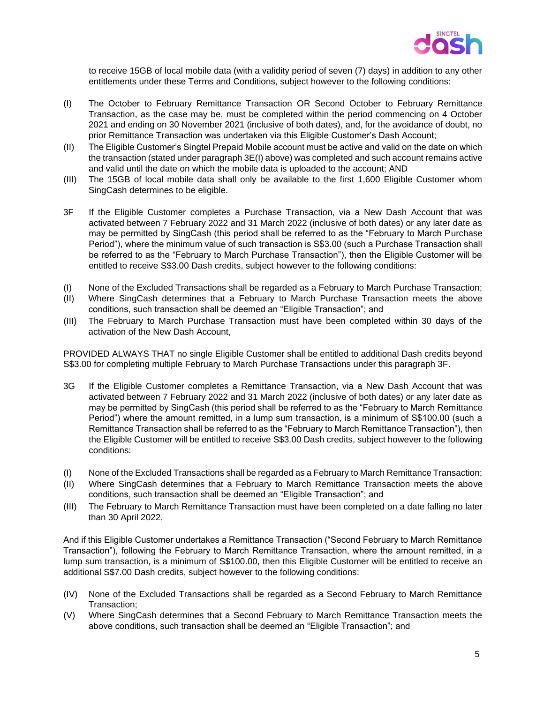

to receive 15GB of local mobile data (with a validity period of seven (7) days) in addition to any other entitlements under these Terms and Conditions, subject however to the following conditions:

- (I) The October to February Remittance Transaction OR Second October to February Remittance Transaction, as the case may be, must be completed within the period commencing on 4 October 2021 and ending on 30 November 2021 (inclusive of both dates), and, for the avoidance of doubt, no prior Remittance Transaction was undertaken via this Eligible Customer's Dash Account;
- (II) The Eligible Customer's Singtel Prepaid Mobile account must be active and valid on the date on which the transaction (stated under paragraph 3E(I) above) was completed and such account remains active and valid until the date on which the mobile data is uploaded to the account; AND
- (III) The 15GB of local mobile data shall only be available to the first 1,600 Eligible Customer whom SingCash determines to be eligible.
- 3F If the Eligible Customer completes a Purchase Transaction, via a New Dash Account that was activated between 7 February 2022 and 31 March 2022 (inclusive of both dates) or any later date as may be permitted by SingCash (this period shall be referred to as the "February to March Purchase Period"), where the minimum value of such transaction is S\$3.00 (such a Purchase Transaction shall be referred to as the "February to March Purchase Transaction"), then the Eligible Customer will be entitled to receive S\$3.00 Dash credits, subject however to the following conditions:
- (I) None of the Excluded Transactions shall be regarded as a February to March Purchase Transaction;
- (II) Where SingCash determines that a February to March Purchase Transaction meets the above conditions, such transaction shall be deemed an "Eligible Transaction"; and
- (III) The February to March Purchase Transaction must have been completed within 30 days of the activation of the New Dash Account,

PROVIDED ALWAYS THAT no single Eligible Customer shall be entitled to additional Dash credits beyond S\$3.00 for completing multiple February to March Purchase Transactions under this paragraph 3F.

- 3G If the Eligible Customer completes a Remittance Transaction, via a New Dash Account that was activated between 7 February 2022 and 31 March 2022 (inclusive of both dates) or any later date as may be permitted by SingCash (this period shall be referred to as the "February to March Remittance Period") where the amount remitted, in a lump sum transaction, is a minimum of S\$100.00 (such a Remittance Transaction shall be referred to as the "February to March Remittance Transaction"), then the Eligible Customer will be entitled to receive S\$3.00 Dash credits, subject however to the following conditions:
- (I) None of the Excluded Transactions shall be regarded as a February to March Remittance Transaction;
- (II) Where SingCash determines that a February to March Remittance Transaction meets the above conditions, such transaction shall be deemed an "Eligible Transaction"; and
- (III) The February to March Remittance Transaction must have been completed on a date falling no later than 30 April 2022,

And if this Eligible Customer undertakes a Remittance Transaction ("Second February to March Remittance Transaction"), following the February to March Remittance Transaction, where the amount remitted, in a lump sum transaction, is a minimum of S\$100.00, then this Eligible Customer will be entitled to receive an additional S\$7.00 Dash credits, subject however to the following conditions:

- (IV) None of the Excluded Transactions shall be regarded as a Second February to March Remittance Transaction;
- (V) Where SingCash determines that a Second February to March Remittance Transaction meets the above conditions, such transaction shall be deemed an "Eligible Transaction"; and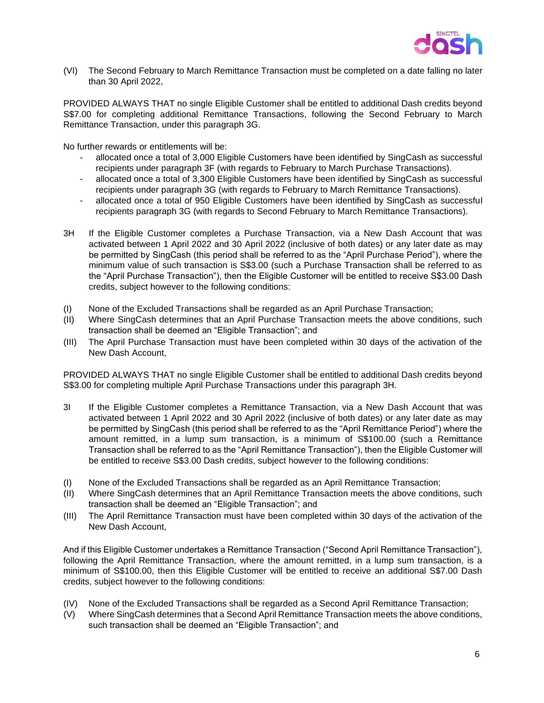

(VI) The Second February to March Remittance Transaction must be completed on a date falling no later than 30 April 2022,

PROVIDED ALWAYS THAT no single Eligible Customer shall be entitled to additional Dash credits beyond S\$7.00 for completing additional Remittance Transactions, following the Second February to March Remittance Transaction, under this paragraph 3G.

No further rewards or entitlements will be:

- allocated once a total of 3,000 Eligible Customers have been identified by SingCash as successful recipients under paragraph 3F (with regards to February to March Purchase Transactions).
- allocated once a total of 3,300 Eligible Customers have been identified by SingCash as successful recipients under paragraph 3G (with regards to February to March Remittance Transactions).
- allocated once a total of 950 Eligible Customers have been identified by SingCash as successful recipients paragraph 3G (with regards to Second February to March Remittance Transactions).
- 3H If the Eligible Customer completes a Purchase Transaction, via a New Dash Account that was activated between 1 April 2022 and 30 April 2022 (inclusive of both dates) or any later date as may be permitted by SingCash (this period shall be referred to as the "April Purchase Period"), where the minimum value of such transaction is S\$3.00 (such a Purchase Transaction shall be referred to as the "April Purchase Transaction"), then the Eligible Customer will be entitled to receive S\$3.00 Dash credits, subject however to the following conditions:
- (I) None of the Excluded Transactions shall be regarded as an April Purchase Transaction;
- (II) Where SingCash determines that an April Purchase Transaction meets the above conditions, such transaction shall be deemed an "Eligible Transaction"; and
- (III) The April Purchase Transaction must have been completed within 30 days of the activation of the New Dash Account,

PROVIDED ALWAYS THAT no single Eligible Customer shall be entitled to additional Dash credits beyond S\$3.00 for completing multiple April Purchase Transactions under this paragraph 3H.

- 3I If the Eligible Customer completes a Remittance Transaction, via a New Dash Account that was activated between 1 April 2022 and 30 April 2022 (inclusive of both dates) or any later date as may be permitted by SingCash (this period shall be referred to as the "April Remittance Period") where the amount remitted, in a lump sum transaction, is a minimum of S\$100.00 (such a Remittance Transaction shall be referred to as the "April Remittance Transaction"), then the Eligible Customer will be entitled to receive S\$3.00 Dash credits, subject however to the following conditions:
- (I) None of the Excluded Transactions shall be regarded as an April Remittance Transaction;
- (II) Where SingCash determines that an April Remittance Transaction meets the above conditions, such transaction shall be deemed an "Eligible Transaction"; and
- (III) The April Remittance Transaction must have been completed within 30 days of the activation of the New Dash Account,

And if this Eligible Customer undertakes a Remittance Transaction ("Second April Remittance Transaction"), following the April Remittance Transaction, where the amount remitted, in a lump sum transaction, is a minimum of S\$100.00, then this Eligible Customer will be entitled to receive an additional S\$7.00 Dash credits, subject however to the following conditions:

- (IV) None of the Excluded Transactions shall be regarded as a Second April Remittance Transaction;
- (V) Where SingCash determines that a Second April Remittance Transaction meets the above conditions, such transaction shall be deemed an "Eligible Transaction"; and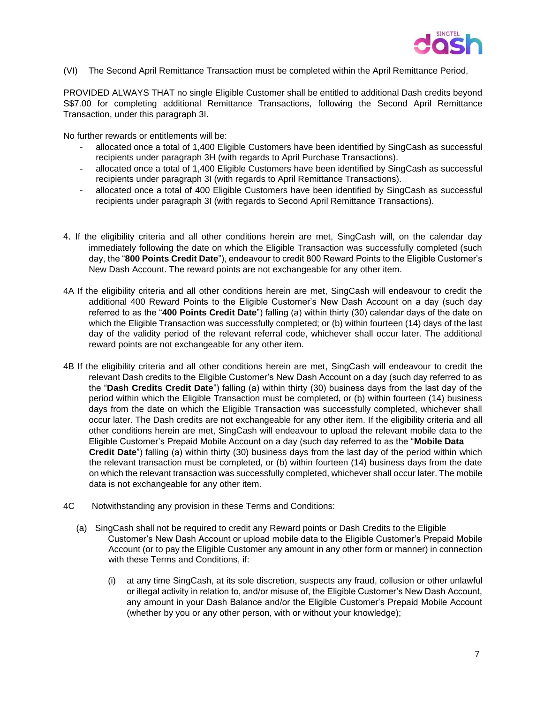

(VI) The Second April Remittance Transaction must be completed within the April Remittance Period,

PROVIDED ALWAYS THAT no single Eligible Customer shall be entitled to additional Dash credits beyond S\$7.00 for completing additional Remittance Transactions, following the Second April Remittance Transaction, under this paragraph 3I.

No further rewards or entitlements will be:

- allocated once a total of 1,400 Eligible Customers have been identified by SingCash as successful recipients under paragraph 3H (with regards to April Purchase Transactions).
- allocated once a total of 1,400 Eligible Customers have been identified by SingCash as successful recipients under paragraph 3I (with regards to April Remittance Transactions).
- allocated once a total of 400 Eligible Customers have been identified by SingCash as successful recipients under paragraph 3I (with regards to Second April Remittance Transactions).
- 4. If the eligibility criteria and all other conditions herein are met, SingCash will, on the calendar day immediately following the date on which the Eligible Transaction was successfully completed (such day, the "**800 Points Credit Date**"), endeavour to credit 800 Reward Points to the Eligible Customer's New Dash Account. The reward points are not exchangeable for any other item.
- 4A If the eligibility criteria and all other conditions herein are met, SingCash will endeavour to credit the additional 400 Reward Points to the Eligible Customer's New Dash Account on a day (such day referred to as the "**400 Points Credit Date**") falling (a) within thirty (30) calendar days of the date on which the Eligible Transaction was successfully completed; or (b) within fourteen (14) days of the last day of the validity period of the relevant referral code, whichever shall occur later. The additional reward points are not exchangeable for any other item.
- 4B If the eligibility criteria and all other conditions herein are met, SingCash will endeavour to credit the relevant Dash credits to the Eligible Customer's New Dash Account on a day (such day referred to as the "**Dash Credits Credit Date**") falling (a) within thirty (30) business days from the last day of the period within which the Eligible Transaction must be completed, or (b) within fourteen (14) business days from the date on which the Eligible Transaction was successfully completed, whichever shall occur later. The Dash credits are not exchangeable for any other item. If the eligibility criteria and all other conditions herein are met, SingCash will endeavour to upload the relevant mobile data to the Eligible Customer's Prepaid Mobile Account on a day (such day referred to as the "**Mobile Data Credit Date**") falling (a) within thirty (30) business days from the last day of the period within which the relevant transaction must be completed, or (b) within fourteen (14) business days from the date on which the relevant transaction was successfully completed, whichever shall occur later. The mobile data is not exchangeable for any other item.
- 4C Notwithstanding any provision in these Terms and Conditions:
	- (a) SingCash shall not be required to credit any Reward points or Dash Credits to the Eligible Customer's New Dash Account or upload mobile data to the Eligible Customer's Prepaid Mobile Account (or to pay the Eligible Customer any amount in any other form or manner) in connection with these Terms and Conditions, if:
		- (i) at any time SingCash, at its sole discretion, suspects any fraud, collusion or other unlawful or illegal activity in relation to, and/or misuse of, the Eligible Customer's New Dash Account, any amount in your Dash Balance and/or the Eligible Customer's Prepaid Mobile Account (whether by you or any other person, with or without your knowledge);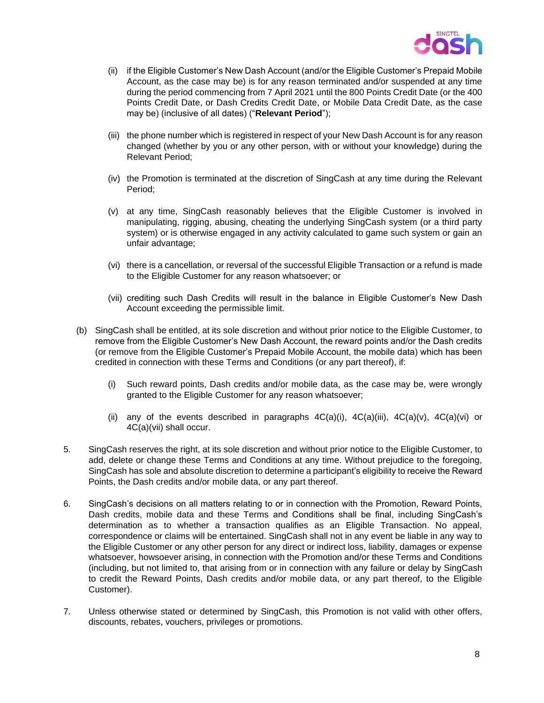

- (ii) if the Eligible Customer's New Dash Account (and/or the Eligible Customer's Prepaid Mobile Account, as the case may be) is for any reason terminated and/or suspended at any time during the period commencing from 7 April 2021 until the 800 Points Credit Date (or the 400 Points Credit Date, or Dash Credits Credit Date, or Mobile Data Credit Date, as the case may be) (inclusive of all dates) ("**Relevant Period**");
- (iii) the phone number which is registered in respect of your New Dash Account is for any reason changed (whether by you or any other person, with or without your knowledge) during the Relevant Period;
- (iv) the Promotion is terminated at the discretion of SingCash at any time during the Relevant Period;
- (v) at any time, SingCash reasonably believes that the Eligible Customer is involved in manipulating, rigging, abusing, cheating the underlying SingCash system (or a third party system) or is otherwise engaged in any activity calculated to game such system or gain an unfair advantage;
- (vi) there is a cancellation, or reversal of the successful Eligible Transaction or a refund is made to the Eligible Customer for any reason whatsoever; or
- (vii) crediting such Dash Credits will result in the balance in Eligible Customer's New Dash Account exceeding the permissible limit.
- (b) SingCash shall be entitled, at its sole discretion and without prior notice to the Eligible Customer, to remove from the Eligible Customer's New Dash Account, the reward points and/or the Dash credits (or remove from the Eligible Customer's Prepaid Mobile Account, the mobile data) which has been credited in connection with these Terms and Conditions (or any part thereof), if:
	- (i) Such reward points, Dash credits and/or mobile data, as the case may be, were wrongly granted to the Eligible Customer for any reason whatsoever;
	- (ii) any of the events described in paragraphs  $4C(a)(i)$ ,  $4C(a)(ii)$ ,  $4C(a)(v)$ ,  $4C(a)(vi)$  or 4C(a)(vii) shall occur.
- 5. SingCash reserves the right, at its sole discretion and without prior notice to the Eligible Customer, to add, delete or change these Terms and Conditions at any time. Without prejudice to the foregoing, SingCash has sole and absolute discretion to determine a participant's eligibility to receive the Reward Points, the Dash credits and/or mobile data, or any part thereof.
- 6. SingCash's decisions on all matters relating to or in connection with the Promotion, Reward Points, Dash credits, mobile data and these Terms and Conditions shall be final, including SingCash's determination as to whether a transaction qualifies as an Eligible Transaction. No appeal, correspondence or claims will be entertained. SingCash shall not in any event be liable in any way to the Eligible Customer or any other person for any direct or indirect loss, liability, damages or expense whatsoever, howsoever arising, in connection with the Promotion and/or these Terms and Conditions (including, but not limited to, that arising from or in connection with any failure or delay by SingCash to credit the Reward Points, Dash credits and/or mobile data, or any part thereof, to the Eligible Customer).
- 7. Unless otherwise stated or determined by SingCash, this Promotion is not valid with other offers, discounts, rebates, vouchers, privileges or promotions.